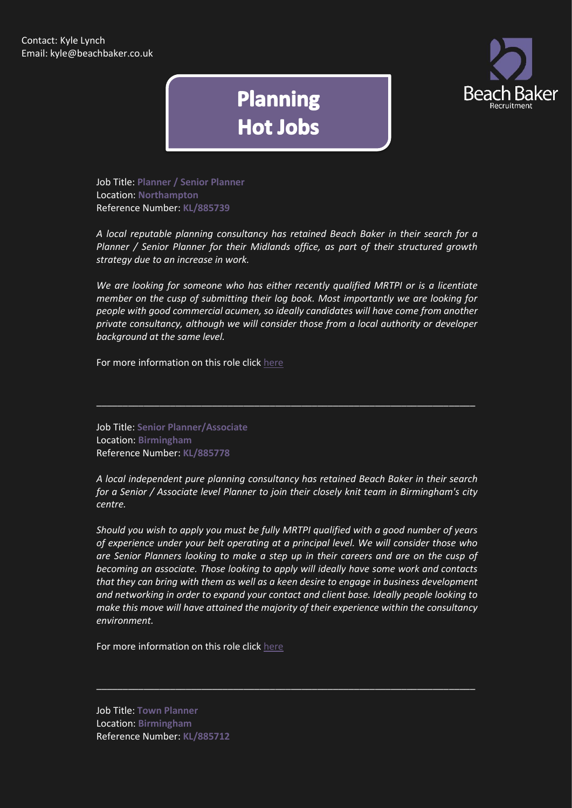

## **Planning Hot Jobs**

Job Title: **Planner / Senior Planner** Location: **Northampton** Reference Number: **KL/885739**

*A local reputable planning consultancy has retained Beach Baker in their search for a Planner / Senior Planner for their Midlands office, as part of their structured growth strategy due to an increase in work.*

*We are looking for someone who has either recently qualified MRTPI or is a licentiate member on the cusp of submitting their log book. Most importantly we are looking for people with good commercial acumen, so ideally candidates will have come from another private consultancy, although we will consider those from a local authority or developer background at the same level.*

For more information on this role click [here](http://www.beachbaker.co.uk/jobs/planner-senior-planner-midlands-northampton/1159-1/)

Job Title: **Senior Planner/Associate** Location: **Birmingham** Reference Number: **KL/885778**

*A local independent pure planning consultancy has retained Beach Baker in their search for a Senior / Associate level Planner to join their closely knit team in Birmingham's city centre.*

\_\_\_\_\_\_\_\_\_\_\_\_\_\_\_\_\_\_\_\_\_\_\_\_\_\_\_\_\_\_\_\_\_\_\_\_\_\_\_\_\_\_\_\_\_\_\_\_\_\_\_\_\_\_\_\_\_\_\_\_\_\_\_\_\_\_\_\_\_\_\_\_

*Should you wish to apply you must be fully MRTPI qualified with a good number of years of experience under your belt operating at a principal level. We will consider those who are Senior Planners looking to make a step up in their careers and are on the cusp of becoming an associate. Those looking to apply will ideally have some work and contacts that they can bring with them as well as a keen desire to engage in business development and networking in order to expand your contact and client base. Ideally people looking to make this move will have attained the majority of their experience within the consultancy environment.*

\_\_\_\_\_\_\_\_\_\_\_\_\_\_\_\_\_\_\_\_\_\_\_\_\_\_\_\_\_\_\_\_\_\_\_\_\_\_\_\_\_\_\_\_\_\_\_\_\_\_\_\_\_\_\_\_\_\_\_\_\_\_\_\_\_\_\_\_\_\_\_\_

For more information on this role click [here](http://www.beachbaker.co.uk/jobs/senior-planner-associate-birmingham-birmingham/1194-1/)

Job Title: **Town Planner** Location: **Birmingham** Reference Number: **KL/885712**